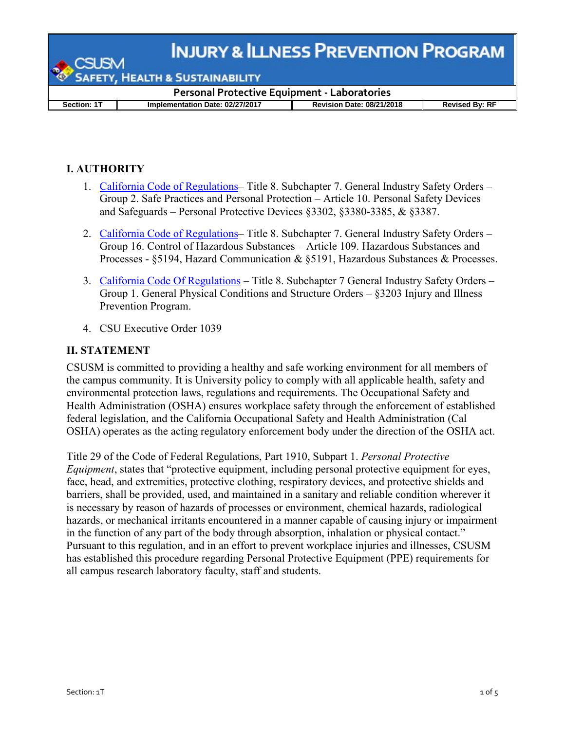**INJURY & ILLNESS PREVENTION PROGRAM** 

**IEALTH & SUSTAINABILITY** 

**Personal Protective Equipment - Laboratories Section: 1T Implementation Date: 02/27/2017 Revision Date: 08/21/2018 Revised By: RF**

# **I. AUTHORITY**

- 1. [California Code of Regulations](https://www.dir.ca.gov/title8/3380.html) Title 8. Subchapter 7. General Industry Safety Orders Group 2. Safe Practices and Personal Protection – Article 10. Personal Safety Devices and Safeguards – Personal Protective Devices §3302, §3380-3385, & §3387.
- 2. [California Code of Regulations](https://www.dir.ca.gov/title8/5191.html) Title 8. Subchapter 7. General Industry Safety Orders Group 16. Control of Hazardous Substances – Article 109. Hazardous Substances and Processes - §5194, Hazard Communication & §5191, Hazardous Substances & Processes.
- 3. [California Code Of Regulations](https://www.dir.ca.gov/title8/5194.html) Title 8. Subchapter 7 General Industry Safety Orders Group 1. General Physical Conditions and Structure Orders – §3203 Injury and Illness Prevention Program.
- 4. CSU Executive Order 1039

## **II. STATEMENT**

CSUSM is committed to providing a healthy and safe working environment for all members of the campus community. It is University policy to comply with all applicable health, safety and environmental protection laws, regulations and requirements. The Occupational Safety and Health Administration (OSHA) ensures workplace safety through the enforcement of established federal legislation, and the California Occupational Safety and Health Administration (Cal OSHA) operates as the acting regulatory enforcement body under the direction of the OSHA act.

Title 29 of the Code of Federal Regulations, Part 1910, Subpart 1. *Personal Protective Equipment*, states that "protective equipment, including personal protective equipment for eyes, face, head, and extremities, protective clothing, respiratory devices, and protective shields and barriers, shall be provided, used, and maintained in a sanitary and reliable condition wherever it is necessary by reason of hazards of processes or environment, chemical hazards, radiological hazards, or mechanical irritants encountered in a manner capable of causing injury or impairment in the function of any part of the body through absorption, inhalation or physical contact." Pursuant to this regulation, and in an effort to prevent workplace injuries and illnesses, CSUSM has established this procedure regarding Personal Protective Equipment (PPE) requirements for all campus research laboratory faculty, staff and students.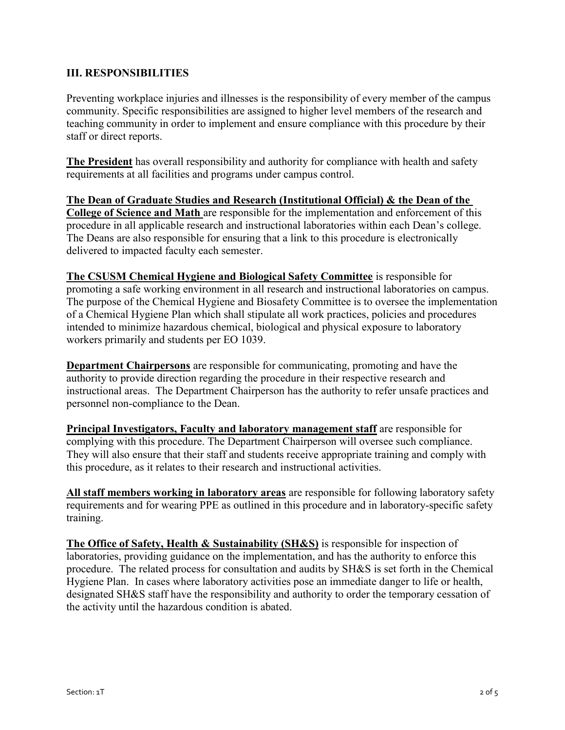#### **III. RESPONSIBILITIES**

Preventing workplace injuries and illnesses is the responsibility of every member of the campus community. Specific responsibilities are assigned to higher level members of the research and teaching community in order to implement and ensure compliance with this procedure by their staff or direct reports.

**The President** has overall responsibility and authority for compliance with health and safety requirements at all facilities and programs under campus control.

**The Dean of Graduate Studies and Research (Institutional Official) & the Dean of the College of Science and Math** are responsible for the implementation and enforcement of this procedure in all applicable research and instructional laboratories within each Dean's college. The Deans are also responsible for ensuring that a link to this procedure is electronically delivered to impacted faculty each semester.

**The CSUSM Chemical Hygiene and Biological Safety Committee** is responsible for promoting a safe working environment in all research and instructional laboratories on campus. The purpose of the Chemical Hygiene and Biosafety Committee is to oversee the implementation of a Chemical Hygiene Plan which shall stipulate all work practices, policies and procedures intended to minimize hazardous chemical, biological and physical exposure to laboratory workers primarily and students per EO 1039.

**Department Chairpersons** are responsible for communicating, promoting and have the authority to provide direction regarding the procedure in their respective research and instructional areas. The Department Chairperson has the authority to refer unsafe practices and personnel non-compliance to the Dean.

**Principal Investigators, Faculty and laboratory management staff** are responsible for complying with this procedure. The Department Chairperson will oversee such compliance. They will also ensure that their staff and students receive appropriate training and comply with this procedure, as it relates to their research and instructional activities.

**All staff members working in laboratory areas** are responsible for following laboratory safety requirements and for wearing PPE as outlined in this procedure and in laboratory-specific safety training.

**The Office of Safety, Health & Sustainability (SH&S)** is responsible for inspection of laboratories, providing guidance on the implementation, and has the authority to enforce this procedure. The related process for consultation and audits by SH&S is set forth in the Chemical Hygiene Plan. In cases where laboratory activities pose an immediate danger to life or health, designated SH&S staff have the responsibility and authority to order the temporary cessation of the activity until the hazardous condition is abated.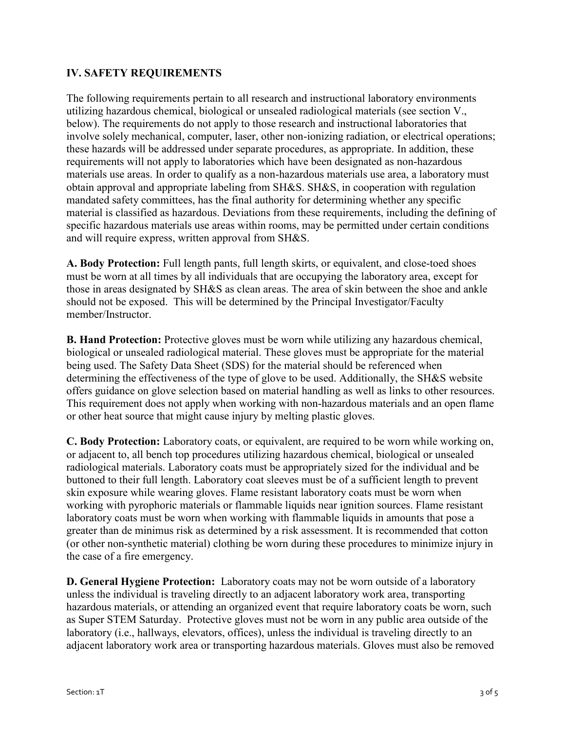# **IV. SAFETY REQUIREMENTS**

The following requirements pertain to all research and instructional laboratory environments utilizing hazardous chemical, biological or unsealed radiological materials (see section V., below). The requirements do not apply to those research and instructional laboratories that involve solely mechanical, computer, laser, other non-ionizing radiation, or electrical operations; these hazards will be addressed under separate procedures, as appropriate. In addition, these requirements will not apply to laboratories which have been designated as non-hazardous materials use areas. In order to qualify as a non-hazardous materials use area, a laboratory must obtain approval and appropriate labeling from SH&S. SH&S, in cooperation with regulation mandated safety committees, has the final authority for determining whether any specific material is classified as hazardous. Deviations from these requirements, including the defining of specific hazardous materials use areas within rooms, may be permitted under certain conditions and will require express, written approval from SH&S.

**A. Body Protection:** Full length pants, full length skirts, or equivalent, and close-toed shoes must be worn at all times by all individuals that are occupying the laboratory area, except for those in areas designated by SH&S as clean areas. The area of skin between the shoe and ankle should not be exposed. This will be determined by the Principal Investigator/Faculty member/Instructor.

**B. Hand Protection:** Protective gloves must be worn while utilizing any hazardous chemical, biological or unsealed radiological material. These gloves must be appropriate for the material being used. The Safety Data Sheet (SDS) for the material should be referenced when determining the effectiveness of the type of glove to be used. Additionally, the [SH&S website](http://www.ehs.ucla.edu/) offers guidance on glove selection based on material handling as well as links to other resources. This requirement does not apply when working with non-hazardous materials and an open flame or other heat source that might cause injury by melting plastic gloves.

**C. Body Protection:** Laboratory coats, or equivalent, are required to be worn while working on, or adjacent to, all bench top procedures utilizing hazardous chemical, biological or unsealed radiological materials. Laboratory coats must be appropriately sized for the individual and be buttoned to their full length. Laboratory coat sleeves must be of a sufficient length to prevent skin exposure while wearing gloves. Flame resistant laboratory coats must be worn when working with pyrophoric materials or flammable liquids near ignition sources. Flame resistant laboratory coats must be worn when working with flammable liquids in amounts that pose a greater than de minimus risk as determined by a risk assessment. It is recommended that cotton (or other non-synthetic material) clothing be worn during these procedures to minimize injury in the case of a fire emergency.

**D. General Hygiene Protection:** Laboratory coats may not be worn outside of a laboratory unless the individual is traveling directly to an adjacent laboratory work area, transporting hazardous materials, or attending an organized event that require laboratory coats be worn, such as Super STEM Saturday. Protective gloves must not be worn in any public area outside of the laboratory (i.e., hallways, elevators, offices), unless the individual is traveling directly to an adjacent laboratory work area or transporting hazardous materials. Gloves must also be removed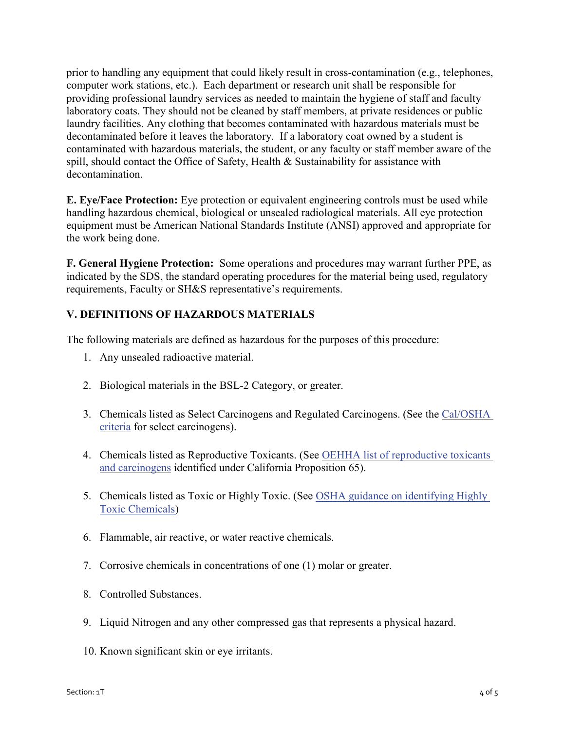prior to handling any equipment that could likely result in cross-contamination (e.g., telephones, computer work stations, etc.). Each department or research unit shall be responsible for providing professional laundry services as needed to maintain the hygiene of staff and faculty laboratory coats. They should not be cleaned by staff members, at private residences or public laundry facilities. Any clothing that becomes contaminated with hazardous materials must be decontaminated before it leaves the laboratory. If a laboratory coat owned by a student is contaminated with hazardous materials, the student, or any faculty or staff member aware of the spill, should contact the Office of Safety, Health & Sustainability for assistance with decontamination.

**E. Eye/Face Protection:** Eye protection or equivalent engineering controls must be used while handling hazardous chemical, biological or unsealed radiological materials. All eye protection equipment must be American National Standards Institute (ANSI) approved and appropriate for the work being done.

**F. General Hygiene Protection:** Some operations and procedures may warrant further PPE, as indicated by the SDS, the standard operating procedures for the material being used, regulatory requirements, Faculty or SH&S representative's requirements.

# **V. DEFINITIONS OF HAZARDOUS MATERIALS**

The following materials are defined as hazardous for the purposes of this procedure:

- 1. Any unsealed radioactive material.
- 2. Biological materials in the BSL-2 Category, or greater.
- 3. Chemicals listed as Select Carcinogens and Regulated Carcinogens. (See the [Cal/OSHA](http://www.dir.ca.gov/Title8/5191.html)  [criteria](http://www.dir.ca.gov/Title8/5191.html) for select carcinogens).
- 4. Chemicals listed as Reproductive Toxicants. (See OEHHA list of reproductive toxicants [and carcinogens](http://www.oehha.org/prop65/prop65_list/Newlist.html#files) identified under California Proposition 65).
- 5. Chemicals listed as Toxic or Highly Toxic. (See [OSHA guidance on identifying Highly](http://www.osha.gov/pls/oshaweb/owadisp.show_document?p_table=STANDARDS&p_id=10100)  [Toxic Chemicals\)](http://www.osha.gov/pls/oshaweb/owadisp.show_document?p_table=STANDARDS&p_id=10100)
- 6. Flammable, air reactive, or water reactive chemicals.
- 7. Corrosive chemicals in concentrations of one (1) molar or greater.
- 8. Controlled Substances.
- 9. Liquid Nitrogen and any other compressed gas that represents a physical hazard.
- 10. Known significant skin or eye irritants.